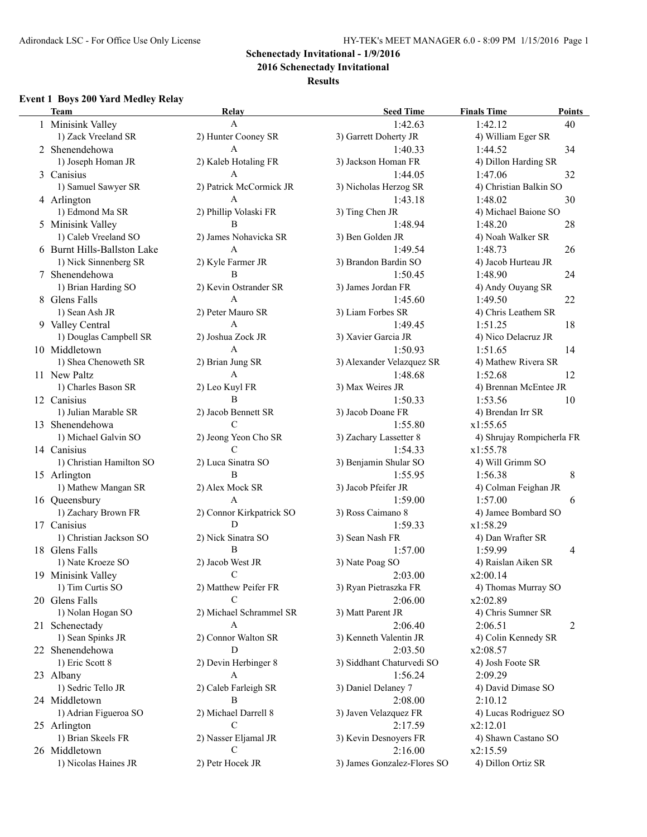**2016 Schenectady Invitational**

### **Results**

## **Event 1 Boys 200 Yard Medley Relay**

|   | <b>Team</b>                 | Relay                    | <b>Seed Time</b>            | <b>Finals Time</b>             | <b>Points</b> |
|---|-----------------------------|--------------------------|-----------------------------|--------------------------------|---------------|
|   | 1 Minisink Valley           | A                        | 1:42.63                     | 1:42.12                        | 40            |
|   | 1) Zack Vreeland SR         | 2) Hunter Cooney SR      | 3) Garrett Doherty JR       | 4) William Eger SR             |               |
|   | 2 Shenendehowa              | A                        | 1:40.33                     | 1:44.52                        | 34            |
|   | 1) Joseph Homan JR          | 2) Kaleb Hotaling FR     | 3) Jackson Homan FR         | 4) Dillon Harding SR           |               |
| 3 | Canisius                    | A                        | 1:44.05                     | 1:47.06                        | 32            |
|   | 1) Samuel Sawyer SR         | 2) Patrick McCormick JR  | 3) Nicholas Herzog SR       | 4) Christian Balkin SO         |               |
|   | 4 Arlington                 | A                        | 1:43.18                     | 1:48.02                        | 30            |
|   | 1) Edmond Ma SR             | 2) Phillip Volaski FR    | 3) Ting Chen JR             | 4) Michael Baione SO           |               |
|   | 5 Minisink Valley           | B                        | 1:48.94                     | 1:48.20                        | 28            |
|   | 1) Caleb Vreeland SO        | 2) James Nohavicka SR    | 3) Ben Golden JR            | 4) Noah Walker SR              |               |
|   | 6 Burnt Hills-Ballston Lake | A                        | 1:49.54                     | 1:48.73                        | 26            |
|   | 1) Nick Sinnenberg SR       | 2) Kyle Farmer JR        | 3) Brandon Bardin SO        | 4) Jacob Hurteau JR            |               |
|   | 7 Shenendehowa              | B                        | 1:50.45                     | 1:48.90                        | 24            |
|   | 1) Brian Harding SO         | 2) Kevin Ostrander SR    | 3) James Jordan FR          | 4) Andy Ouyang SR              |               |
|   | 8 Glens Falls               | A                        | 1:45.60                     | 1:49.50                        | 22            |
|   | 1) Sean Ash JR              | 2) Peter Mauro SR        | 3) Liam Forbes SR           | 4) Chris Leathem SR            |               |
|   | 9 Valley Central            | A                        | 1:49.45                     | 1:51.25                        | 18            |
|   | 1) Douglas Campbell SR      | 2) Joshua Zock JR        | 3) Xavier Garcia JR         | 4) Nico Delacruz JR            |               |
|   | 10 Middletown               | A                        | 1:50.93                     |                                | 14            |
|   |                             |                          |                             | 1:51.65                        |               |
|   | 1) Shea Chenoweth SR        | 2) Brian Jung SR<br>A    | 3) Alexander Velazquez SR   | 4) Mathew Rivera SR<br>1:52.68 |               |
|   | 11 New Paltz                |                          | 1:48.68                     |                                | 12            |
|   | 1) Charles Bason SR         | 2) Leo Kuyl FR           | 3) Max Weires JR            | 4) Brennan McEntee JR          |               |
|   | 12 Canisius                 | B                        | 1:50.33                     | 1:53.56                        | 10            |
|   | 1) Julian Marable SR        | 2) Jacob Bennett SR      | 3) Jacob Doane FR           | 4) Brendan Irr SR              |               |
|   | 13 Shenendehowa             | C                        | 1:55.80                     | x1:55.65                       |               |
|   | 1) Michael Galvin SO        | 2) Jeong Yeon Cho SR     | 3) Zachary Lassetter 8      | 4) Shrujay Rompicherla FR      |               |
|   | 14 Canisius                 | C                        | 1:54.33                     | x1:55.78                       |               |
|   | 1) Christian Hamilton SO    | 2) Luca Sinatra SO       | 3) Benjamin Shular SO       | 4) Will Grimm SO               |               |
|   | 15 Arlington                | B                        | 1:55.95                     | 1:56.38                        | 8             |
|   | 1) Mathew Mangan SR         | 2) Alex Mock SR          | 3) Jacob Pfeifer JR         | 4) Colman Feighan JR           |               |
|   | 16 Queensbury               | A                        | 1:59.00                     | 1:57.00                        | 6             |
|   | 1) Zachary Brown FR         | 2) Connor Kirkpatrick SO | 3) Ross Caimano 8           | 4) Jamee Bombard SO            |               |
|   | 17 Canisius                 | D                        | 1:59.33                     | x1:58.29                       |               |
|   | 1) Christian Jackson SO     | 2) Nick Sinatra SO       | 3) Sean Nash FR             | 4) Dan Wrafter SR              |               |
|   | 18 Glens Falls              | B                        | 1:57.00                     | 1:59.99                        | 4             |
|   | 1) Nate Kroeze SO           | 2) Jacob West JR         | 3) Nate Poag SO             | 4) Raislan Aiken SR            |               |
|   | 19 Minisink Valley          | $\overline{C}$           | 2:03.00                     | x2:00.14                       |               |
|   | 1) Tim Curtis SO            | 2) Matthew Peifer FR     | 3) Ryan Pietraszka FR       | 4) Thomas Murray SO            |               |
|   | 20 Glens Falls              | C                        | 2:06.00                     | x2:02.89                       |               |
|   | 1) Nolan Hogan SO           | 2) Michael Schrammel SR  | 3) Matt Parent JR           | 4) Chris Sumner SR             |               |
|   | 21 Schenectady              | A                        | 2:06.40                     | 2:06.51                        | 2             |
|   | 1) Sean Spinks JR           | 2) Connor Walton SR      | 3) Kenneth Valentin JR      | 4) Colin Kennedy SR            |               |
|   | 22 Shenendehowa             | D                        | 2:03.50                     | x2:08.57                       |               |
|   | 1) Eric Scott 8             | 2) Devin Herbinger 8     | 3) Siddhant Chaturvedi SO   | 4) Josh Foote SR               |               |
|   | 23 Albany                   | A                        | 1:56.24                     | 2:09.29                        |               |
|   | 1) Sedric Tello JR          | 2) Caleb Farleigh SR     | 3) Daniel Delaney 7         | 4) David Dimase SO             |               |
|   | 24 Middletown               | B                        | 2:08.00                     | 2:10.12                        |               |
|   | 1) Adrian Figueroa SO       | 2) Michael Darrell 8     | 3) Javen Velazquez FR       | 4) Lucas Rodriguez SO          |               |
|   |                             | $\mathcal{C}$            | 2:17.59                     |                                |               |
|   | 25 Arlington                |                          |                             | x2:12.01                       |               |
|   | 1) Brian Skeels FR          | 2) Nasser Eljamal JR     | 3) Kevin Desnoyers FR       | 4) Shawn Castano SO            |               |
|   | 26 Middletown               | $\mathcal{C}$            | 2:16.00                     | x2:15.59                       |               |
|   | 1) Nicolas Haines JR        | 2) Petr Hocek JR         | 3) James Gonzalez-Flores SO | 4) Dillon Ortiz SR             |               |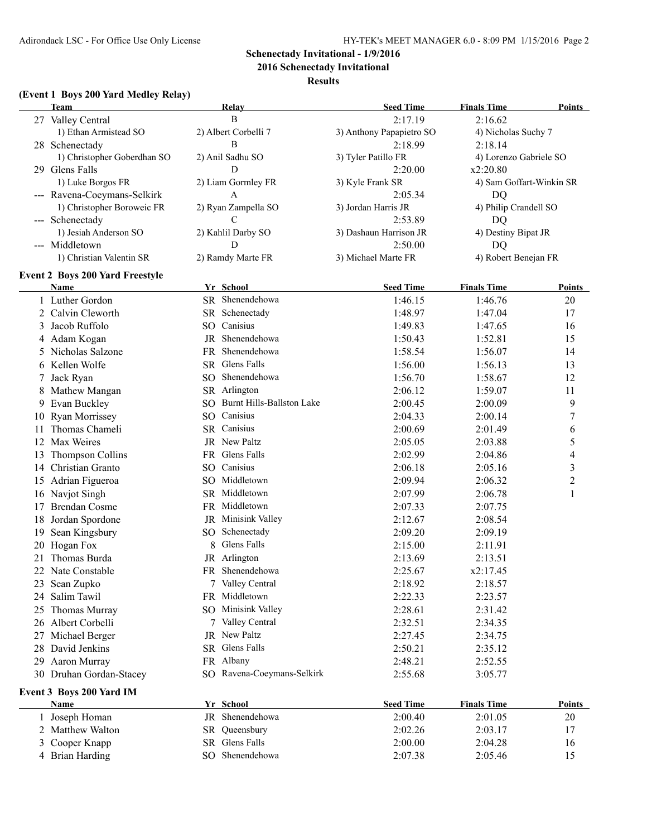**2016 Schenectady Invitational**

### **Results**

## **(Event 1 Boys 200 Yard Medley Relay)**

|    | <b>Team</b>                            |   | Relay                        | <b>Seed Time</b>         | <b>Finals Time</b>       | <b>Points</b>           |
|----|----------------------------------------|---|------------------------------|--------------------------|--------------------------|-------------------------|
|    | 27 Valley Central                      |   | B                            | 2:17.19                  | 2:16.62                  |                         |
|    | 1) Ethan Armistead SO                  |   | 2) Albert Corbelli 7         | 3) Anthony Papapietro SO | 4) Nicholas Suchy 7      |                         |
|    | 28 Schenectady                         |   | B                            | 2:18.99                  | 2:18.14                  |                         |
|    | 1) Christopher Goberdhan SO            |   | 2) Anil Sadhu SO             | 3) Tyler Patillo FR      | 4) Lorenzo Gabriele SO   |                         |
|    | 29 Glens Falls                         |   | D                            | 2:20.00                  | x2:20.80                 |                         |
|    | 1) Luke Borgos FR                      |   | 2) Liam Gormley FR           | 3) Kyle Frank SR         | 4) Sam Goffart-Winkin SR |                         |
|    | --- Ravena-Coeymans-Selkirk            |   | A                            | 2:05.34                  | DQ                       |                         |
|    | 1) Christopher Boroweic FR             |   | 2) Ryan Zampella SO          | 3) Jordan Harris JR      | 4) Philip Crandell SO    |                         |
|    | --- Schenectady                        |   | C                            | 2:53.89                  | DQ                       |                         |
|    | 1) Jesiah Anderson SO                  |   | 2) Kahlil Darby SO           | 3) Dashaun Harrison JR   | 4) Destiny Bipat JR      |                         |
|    | --- Middletown                         |   | D                            | 2:50.00                  | DQ                       |                         |
|    | 1) Christian Valentin SR               |   | 2) Ramdy Marte FR            | 3) Michael Marte FR      | 4) Robert Benejan FR     |                         |
|    |                                        |   |                              |                          |                          |                         |
|    | <b>Event 2 Boys 200 Yard Freestyle</b> |   |                              |                          |                          |                         |
|    | Name                                   |   | Yr School                    | <b>Seed Time</b>         | <b>Finals Time</b>       | Points                  |
|    | Luther Gordon                          |   | SR Shenendehowa              | 1:46.15                  | 1:46.76                  | 20                      |
|    | 2 Calvin Cleworth                      |   | SR Schenectady               | 1:48.97                  | 1:47.04                  | 17                      |
| 3  | Jacob Ruffolo                          |   | SO Canisius                  | 1:49.83                  | 1:47.65                  | 16                      |
|    | 4 Adam Kogan                           |   | JR Shenendehowa              | 1:50.43                  | 1:52.81                  | 15                      |
| 5  | Nicholas Salzone                       |   | FR Shenendehowa              | 1:58.54                  | 1:56.07                  | 14                      |
|    | 6 Kellen Wolfe                         |   | SR Glens Falls               | 1:56.00                  | 1:56.13                  | 13                      |
| 7  | Jack Ryan                              |   | SO Shenendehowa              | 1:56.70                  | 1:58.67                  | 12                      |
| 8  | Mathew Mangan                          |   | SR Arlington                 | 2:06.12                  | 1:59.07                  | 11                      |
| 9  | Evan Buckley                           |   | SO Burnt Hills-Ballston Lake | 2:00.45                  | 2:00.09                  | 9                       |
| 10 | Ryan Morrissey                         |   | SO Canisius                  | 2:04.33                  | 2:00.14                  | $\boldsymbol{7}$        |
| 11 | Thomas Chameli                         |   | SR Canisius                  | 2:00.69                  | 2:01.49                  | 6                       |
|    | 12 Max Weires                          |   | JR New Paltz                 | 2:05.05                  | 2:03.88                  | 5                       |
| 13 | Thompson Collins                       |   | FR Glens Falls               | 2:02.99                  | 2:04.86                  | $\overline{4}$          |
|    | 14 Christian Granto                    |   | SO Canisius                  | 2:06.18                  | 2:05.16                  | $\overline{\mathbf{3}}$ |
|    | 15 Adrian Figueroa                     |   | SO Middletown                | 2:09.94                  | 2:06.32                  | $\overline{c}$          |
|    | 16 Navjot Singh                        |   | SR Middletown                | 2:07.99                  | 2:06.78                  | $\mathbf{1}$            |
| 17 | <b>Brendan Cosme</b>                   |   | FR Middletown                | 2:07.33                  | 2:07.75                  |                         |
| 18 | Jordan Spordone                        |   | JR Minisink Valley           | 2:12.67                  | 2:08.54                  |                         |
| 19 | Sean Kingsbury                         |   | SO Schenectady               | 2:09.20                  | 2:09.19                  |                         |
|    | 20 Hogan Fox                           | 8 | Glens Falls                  | 2:15.00                  | 2:11.91                  |                         |
| 21 | Thomas Burda                           |   | JR Arlington                 | 2:13.69                  | 2:13.51                  |                         |
|    |                                        |   | FR Shenendehowa              |                          |                          |                         |
|    | 22 Nate Constable                      |   | 7 Valley Central             | 2:25.67                  | x2:17.45                 |                         |
|    | 23 Sean Zupko                          |   | FR Middletown                | 2:18.92                  | 2:18.57                  |                         |
| 24 | Salim Tawil                            |   |                              | 2:22.33                  | 2:23.57                  |                         |
| 25 | Thomas Murray                          |   | SO Minisink Valley           | 2:28.61                  | 2:31.42                  |                         |
| 26 | Albert Corbelli                        |   | 7 Valley Central             | 2:32.51                  | 2:34.35                  |                         |
| 27 | Michael Berger                         |   | JR New Paltz                 | 2:27.45                  | 2:34.75                  |                         |
| 28 | David Jenkins                          |   | SR Glens Falls               | 2:50.21                  | 2:35.12                  |                         |
| 29 | Aaron Murray                           |   | FR Albany                    | 2:48.21                  | 2:52.55                  |                         |
|    | 30 Druhan Gordan-Stacey                |   | SO Ravena-Coeymans-Selkirk   | 2:55.68                  | 3:05.77                  |                         |
|    | Event 3 Boys 200 Yard IM               |   |                              |                          |                          |                         |
|    | <b>Name</b>                            |   | Yr School                    | <b>Seed Time</b>         | <b>Finals Time</b>       | <b>Points</b>           |
| 1  | Joseph Homan                           |   | JR Shenendehowa              | 2:00.40                  | 2:01.05                  | 20                      |
| 2  | Matthew Walton                         |   | SR Queensbury                | 2:02.26                  | 2:03.17                  | 17                      |
| 3  | Cooper Knapp                           |   | SR Glens Falls               | 2:00.00                  | 2:04.28                  | 16                      |
|    | 4 Brian Harding                        |   | SO Shenendehowa              | 2:07.38                  | 2:05.46                  | 15                      |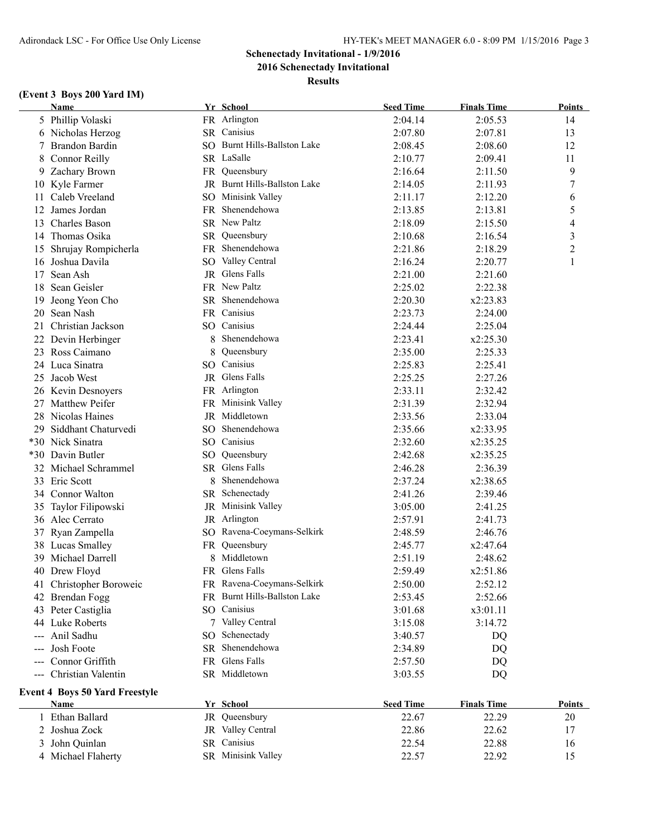**2016 Schenectady Invitational**

**Results**

## **(Event 3 Boys 200 Yard IM)**

|     | <b>Name</b>                           |   | Yr School                    | <b>Seed Time</b> | <b>Finals Time</b> | Points        |
|-----|---------------------------------------|---|------------------------------|------------------|--------------------|---------------|
|     | 5 Phillip Volaski                     |   | FR Arlington                 | 2:04.14          | 2:05.53            | 14            |
|     | 6 Nicholas Herzog                     |   | SR Canisius                  | 2:07.80          | 2:07.81            | 13            |
|     | Brandon Bardin                        |   | SO Burnt Hills-Ballston Lake | 2:08.45          | 2:08.60            | 12            |
| 8   | Connor Reilly                         |   | SR LaSalle                   | 2:10.77          | 2:09.41            | 11            |
| 9   | Zachary Brown                         |   | FR Queensbury                | 2:16.64          | 2:11.50            | 9             |
|     | 10 Kyle Farmer                        |   | JR Burnt Hills-Ballston Lake | 2:14.05          | 2:11.93            | 7             |
| 11  | Caleb Vreeland                        |   | SO Minisink Valley           | 2:11.17          | 2:12.20            | 6             |
| 12  | James Jordan                          |   | FR Shenendehowa              | 2:13.85          | 2:13.81            | 5             |
| 13  | <b>Charles Bason</b>                  |   | SR New Paltz                 | 2:18.09          | 2:15.50            | 4             |
|     | 14 Thomas Osika                       |   | SR Queensbury                | 2:10.68          | 2:16.54            | 3             |
|     | 15 Shrujay Rompicherla                |   | FR Shenendehowa              | 2:21.86          | 2:18.29            | 2             |
|     | 16 Joshua Davila                      |   | SO Valley Central            | 2:16.24          | 2:20.77            | 1             |
| 17  | Sean Ash                              |   | JR Glens Falls               | 2:21.00          | 2:21.60            |               |
| 18  | Sean Geisler                          |   | FR New Paltz                 | 2:25.02          | 2:22.38            |               |
| 19  | Jeong Yeon Cho                        |   | SR Shenendehowa              | 2:20.30          | x2:23.83           |               |
| 20  | Sean Nash                             |   | FR Canisius                  | 2:23.73          | 2:24.00            |               |
| 21  | Christian Jackson                     |   | SO Canisius                  | 2:24.44          | 2:25.04            |               |
|     | 22 Devin Herbinger                    | 8 | Shenendehowa                 | 2:23.41          | x2:25.30           |               |
|     | 23 Ross Caimano                       | 8 | Queensbury                   | 2:35.00          | 2:25.33            |               |
|     | 24 Luca Sinatra                       |   | SO Canisius                  | 2:25.83          | 2:25.41            |               |
|     | 25 Jacob West                         |   | JR Glens Falls               | 2:25.25          | 2:27.26            |               |
|     |                                       |   | FR Arlington                 | 2:33.11          |                    |               |
|     | 26 Kevin Desnoyers                    |   | FR Minisink Valley           | 2:31.39          | 2:32.42            |               |
|     | 27 Matthew Peifer                     |   | JR Middletown                |                  | 2:32.94            |               |
|     | 28 Nicolas Haines                     |   | SO Shenendehowa              | 2:33.56          | 2:33.04            |               |
| 29. | Siddhant Chaturvedi                   |   |                              | 2:35.66          | x2:33.95           |               |
|     | *30 Nick Sinatra                      |   | SO Canisius                  | 2:32.60          | x2:35.25           |               |
|     | *30 Davin Butler                      |   | SO Queensbury                | 2:42.68          | x2:35.25           |               |
|     | 32 Michael Schrammel                  |   | SR Glens Falls               | 2:46.28          | 2:36.39            |               |
|     | 33 Eric Scott                         | 8 | Shenendehowa                 | 2:37.24          | x2:38.65           |               |
|     | 34 Connor Walton                      |   | SR Schenectady               | 2:41.26          | 2:39.46            |               |
| 35  | Taylor Filipowski                     |   | JR Minisink Valley           | 3:05.00          | 2:41.25            |               |
|     | 36 Alec Cerrato                       |   | JR Arlington                 | 2:57.91          | 2:41.73            |               |
| 37  | Ryan Zampella                         |   | SO Ravena-Coeymans-Selkirk   | 2:48.59          | 2:46.76            |               |
|     | 38 Lucas Smalley                      |   | FR Queensbury                | 2:45.77          | x2:47.64           |               |
|     | 39 Michael Darrell                    |   | Middletown                   | 2:51.19          | 2:48.62            |               |
|     | 40 Drew Floyd                         |   | FR Glens Falls               | 2:59.49          | x2:51.86           |               |
|     | 41 Christopher Boroweic               |   | FR Ravena-Coeymans-Selkirk   | 2:50.00          | 2:52.12            |               |
|     | 42 Brendan Fogg                       |   | FR Burnt Hills-Ballston Lake | 2:53.45          | 2:52.66            |               |
|     | 43 Peter Castiglia                    |   | SO Canisius                  | 3:01.68          | x3:01.11           |               |
|     | 44 Luke Roberts                       |   | 7 Valley Central             | 3:15.08          | 3:14.72            |               |
| --- | Anil Sadhu                            |   | SO Schenectady               | 3:40.57          | DQ                 |               |
| --- | Josh Foote                            |   | SR Shenendehowa              | 2:34.89          | DQ                 |               |
| --- | Connor Griffith                       |   | FR Glens Falls               | 2:57.50          | DQ                 |               |
| --- | Christian Valentin                    |   | SR Middletown                | 3:03.55          | DQ                 |               |
|     | <b>Event 4 Boys 50 Yard Freestyle</b> |   |                              |                  |                    |               |
|     | <b>Name</b>                           |   | Yr School                    | <b>Seed Time</b> | <b>Finals Time</b> | <b>Points</b> |
|     | 1 Ethan Ballard                       |   | JR Queensbury                | 22.67            | 22.29              | 20            |
| 2   | Joshua Zock                           |   | JR Valley Central            | 22.86            | 22.62              | 17            |
| 3   | John Quinlan                          |   | SR Canisius                  | 22.54            | 22.88              | 16            |
|     | 4 Michael Flaherty                    |   | SR Minisink Valley           | 22.57            | 22.92              | 15            |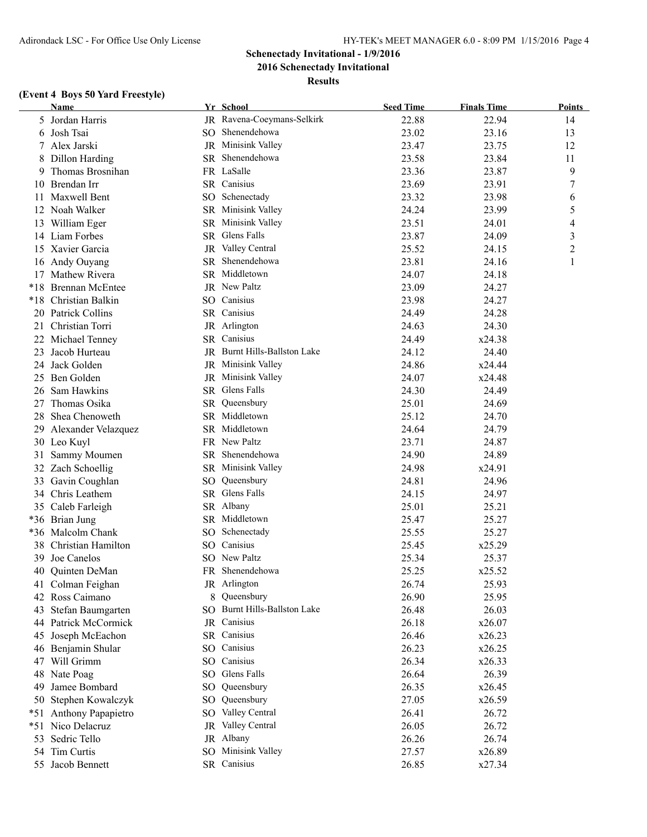## **Schenectady Invitational - 1/9/2016 2016 Schenectady Invitational**

**Results**

## **(Event 4 Boys 50 Yard Freestyle)**

|       | <b>Name</b>               | Yr School                    | <b>Seed Time</b> | <b>Finals Time</b> | <b>Points</b>  |
|-------|---------------------------|------------------------------|------------------|--------------------|----------------|
|       | 5 Jordan Harris           | JR Ravena-Coeymans-Selkirk   | 22.88            | 22.94              | 14             |
| 6     | Josh Tsai                 | SO Shenendehowa              | 23.02            | 23.16              | 13             |
| 7     | Alex Jarski               | JR Minisink Valley           | 23.47            | 23.75              | 12             |
| 8     | Dillon Harding            | SR Shenendehowa              | 23.58            | 23.84              | 11             |
| 9     | Thomas Brosnihan          | FR LaSalle                   | 23.36            | 23.87              | 9              |
|       | 10 Brendan Irr            | SR Canisius                  | 23.69            | 23.91              | 7              |
| 11    | Maxwell Bent              | SO Schenectady               | 23.32            | 23.98              | 6              |
|       | 12 Noah Walker            | SR Minisink Valley           | 24.24            | 23.99              | 5              |
|       | 13 William Eger           | SR Minisink Valley           | 23.51            | 24.01              | 4              |
|       | 14 Liam Forbes            | SR Glens Falls               | 23.87            | 24.09              | 3              |
|       | 15 Xavier Garcia          | JR Valley Central            | 25.52            | 24.15              | $\overline{c}$ |
| 16    | Andy Ouyang               | SR Shenendehowa              | 23.81            | 24.16              | 1              |
| 17    | Mathew Rivera             | SR Middletown                | 24.07            | 24.18              |                |
| $*18$ | <b>Brennan McEntee</b>    | JR New Paltz                 | 23.09            | 24.27              |                |
| $*18$ | Christian Balkin          | SO Canisius                  | 23.98            | 24.27              |                |
|       | 20 Patrick Collins        | SR Canisius                  | 24.49            | 24.28              |                |
| 21    | Christian Torri           | JR Arlington                 | 24.63            | 24.30              |                |
|       | 22 Michael Tenney         | SR Canisius                  | 24.49            | x24.38             |                |
| 23    | Jacob Hurteau             | JR Burnt Hills-Ballston Lake | 24.12            | 24.40              |                |
| 24    | Jack Golden               | JR Minisink Valley           | 24.86            | x24.44             |                |
| 25    | Ben Golden                | JR Minisink Valley           | 24.07            | x24.48             |                |
|       | 26 Sam Hawkins            | SR Glens Falls               | 24.30            | 24.49              |                |
| 27    | Thomas Osika              | SR Queensbury                | 25.01            | 24.69              |                |
|       | 28 Shea Chenoweth         | SR Middletown                | 25.12            | 24.70              |                |
|       | 29 Alexander Velazquez    | SR Middletown                | 24.64            | 24.79              |                |
|       | 30 Leo Kuyl               | FR New Paltz                 | 23.71            | 24.87              |                |
| 31    | Sammy Moumen              | SR Shenendehowa              | 24.90            | 24.89              |                |
|       | 32 Zach Schoellig         | SR Minisink Valley           | 24.98            | x24.91             |                |
| 33    | Gavin Coughlan            | SO Queensbury                | 24.81            | 24.96              |                |
| 34    | Chris Leathem             | SR Glens Falls               | 24.15            | 24.97              |                |
|       | 35 Caleb Farleigh         | SR Albany                    | 25.01            | 25.21              |                |
|       | *36 Brian Jung            | SR Middletown                | 25.47            | 25.27              |                |
|       | *36 Malcolm Chank         | SO Schenectady               | 25.55            | 25.27              |                |
| 38    | Christian Hamilton        | SO Canisius                  | 25.45            | x25.29             |                |
| 39    | Joe Canelos               | SO New Paltz                 | 25.34            | 25.37              |                |
|       | 40 Quinten DeMan          | FR Shenendehowa              | 25.25            | x25.52             |                |
|       | 41 Colman Feighan         | JR Arlington                 | 26.74            | 25.93              |                |
|       | 42 Ross Caimano           | 8 Queensbury                 | 26.90            | 25.95              |                |
| 43    | Stefan Baumgarten         | SO Burnt Hills-Ballston Lake | 26.48            | 26.03              |                |
|       | 44 Patrick McCormick      | JR Canisius                  | 26.18            | x26.07             |                |
| 45    | Joseph McEachon           | SR Canisius                  | 26.46            | x26.23             |                |
|       | 46 Benjamin Shular        | SO Canisius                  | 26.23            | x26.25             |                |
| 47    | Will Grimm                | SO Canisius                  | 26.34            | x26.33             |                |
| 48    | Nate Poag                 | SO Glens Falls               | 26.64            | 26.39              |                |
| 49    | Jamee Bombard             | SO Queensbury                | 26.35            | x26.45             |                |
|       | 50 Stephen Kowalczyk      | SO Queensbury                | 27.05            | x26.59             |                |
| $*51$ | <b>Anthony Papapietro</b> | SO Valley Central            | 26.41            | 26.72              |                |
| $*51$ | Nico Delacruz             | JR Valley Central            | 26.05            | 26.72              |                |
| 53    | Sedric Tello              | JR Albany                    | 26.26            | 26.74              |                |
|       | 54 Tim Curtis             | SO Minisink Valley           | 27.57            | x26.89             |                |
|       | 55 Jacob Bennett          | SR Canisius                  | 26.85            | x27.34             |                |
|       |                           |                              |                  |                    |                |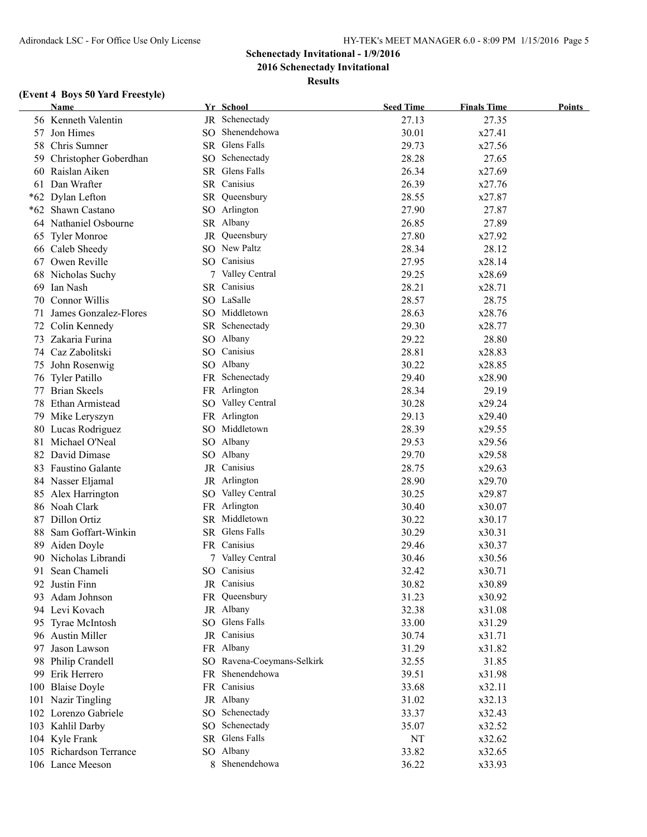**2016 Schenectady Invitational**

**Results**

### **(Event 4 Boys 50 Yard Freestyle)**

|    | <b>Name</b>             |     | Yr School                  | <b>Seed Time</b> | <b>Finals Time</b> | <b>Points</b> |
|----|-------------------------|-----|----------------------------|------------------|--------------------|---------------|
|    | 56 Kenneth Valentin     |     | JR Schenectady             | 27.13            | 27.35              |               |
|    | 57 Jon Himes            |     | SO Shenendehowa            | 30.01            | x27.41             |               |
| 58 | Chris Sumner            |     | SR Glens Falls             | 29.73            | x27.56             |               |
| 59 | Christopher Goberdhan   |     | SO Schenectady             | 28.28            | 27.65              |               |
|    | 60 Raislan Aiken        |     | SR Glens Falls             | 26.34            | x27.69             |               |
|    | 61 Dan Wrafter          |     | SR Canisius                | 26.39            | x27.76             |               |
|    | *62 Dylan Lefton        | SR  | Queensbury                 | 28.55            | x27.87             |               |
|    | *62 Shawn Castano       | SO  | Arlington                  | 27.90            | 27.87              |               |
|    | 64 Nathaniel Osbourne   |     | SR Albany                  | 26.85            | 27.89              |               |
| 65 | <b>Tyler Monroe</b>     | JR  | Queensbury                 | 27.80            | x27.92             |               |
|    | 66 Caleb Sheedy         |     | SO New Paltz               | 28.34            | 28.12              |               |
|    | 67 Owen Reville         | SO. | Canisius                   | 27.95            | x28.14             |               |
|    | 68 Nicholas Suchy       |     | 7 Valley Central           | 29.25            | x28.69             |               |
| 69 | Ian Nash                |     | SR Canisius                | 28.21            | x28.71             |               |
| 70 | <b>Connor Willis</b>    |     | SO LaSalle                 | 28.57            | 28.75              |               |
| 71 | James Gonzalez-Flores   |     | SO Middletown              | 28.63            | x28.76             |               |
| 72 | Colin Kennedy           |     | SR Schenectady             | 29.30            | x28.77             |               |
| 73 | Zakaria Furina          |     | SO Albany                  | 29.22            | 28.80              |               |
|    | 74 Caz Zabolitski       |     | SO Canisius                | 28.81            | x28.83             |               |
| 75 | John Rosenwig           |     | SO Albany                  | 30.22            | x28.85             |               |
|    | 76 Tyler Patillo        |     | FR Schenectady             | 29.40            | x28.90             |               |
|    | 77 Brian Skeels         |     | FR Arlington               | 28.34            | 29.19              |               |
| 78 | Ethan Armistead         | SO  | Valley Central             | 30.28            | x29.24             |               |
|    |                         |     | FR Arlington               |                  | x29.40             |               |
|    | 79 Mike Leryszyn        |     | SO Middletown              | 29.13            |                    |               |
|    | 80 Lucas Rodriguez      |     |                            | 28.39            | x29.55             |               |
| 81 | Michael O'Neal          |     | SO Albany                  | 29.53            | x29.56             |               |
| 82 | David Dimase            |     | SO Albany                  | 29.70            | x29.58             |               |
| 83 | <b>Faustino Galante</b> |     | JR Canisius                | 28.75            | x29.63             |               |
|    | 84 Nasser Eljamal       |     | JR Arlington               | 28.90            | x29.70             |               |
|    | 85 Alex Harrington      |     | SO Valley Central          | 30.25            | x29.87             |               |
|    | 86 Noah Clark           |     | FR Arlington               | 30.40            | x30.07             |               |
|    | 87 Dillon Ortiz         |     | SR Middletown              | 30.22            | x30.17             |               |
| 88 | Sam Goffart-Winkin      |     | SR Glens Falls             | 30.29            | x30.31             |               |
|    | 89 Aiden Doyle          |     | FR Canisius                | 29.46            | x30.37             |               |
|    | 90 Nicholas Librandi    |     | 7 Valley Central           | 30.46            | x30.56             |               |
|    | 91 Sean Chameli         |     | SO Canisius                | 32.42            | x30.71             |               |
|    | 92 Justin Finn          |     | JR Canisius                | 30.82            | x30.89             |               |
| 93 | Adam Johnson            |     | FR Queensbury              | 31.23            | x30.92             |               |
|    | 94 Levi Kovach          |     | JR Albany                  | 32.38            | x31.08             |               |
|    | 95 Tyrae McIntosh       |     | SO Glens Falls             | 33.00            | x31.29             |               |
|    | 96 Austin Miller        |     | JR Canisius                | 30.74            | x31.71             |               |
|    | 97 Jason Lawson         |     | FR Albany                  | 31.29            | x31.82             |               |
| 98 | Philip Crandell         |     | SO Ravena-Coeymans-Selkirk | 32.55            | 31.85              |               |
|    | 99 Erik Herrero         |     | FR Shenendehowa            | 39.51            | x31.98             |               |
|    | 100 Blaise Doyle        |     | FR Canisius                | 33.68            | x32.11             |               |
|    | 101 Nazir Tingling      |     | JR Albany                  | 31.02            | x32.13             |               |
|    | 102 Lorenzo Gabriele    |     | SO Schenectady             | 33.37            | x32.43             |               |
|    | 103 Kahlil Darby        |     | SO Schenectady             | 35.07            | x32.52             |               |
|    | 104 Kyle Frank          |     | SR Glens Falls             | NT               | x32.62             |               |
|    | 105 Richardson Terrance |     | SO Albany                  | 33.82            | x32.65             |               |
|    | 106 Lance Meeson        |     | 8 Shenendehowa             | 36.22            | x33.93             |               |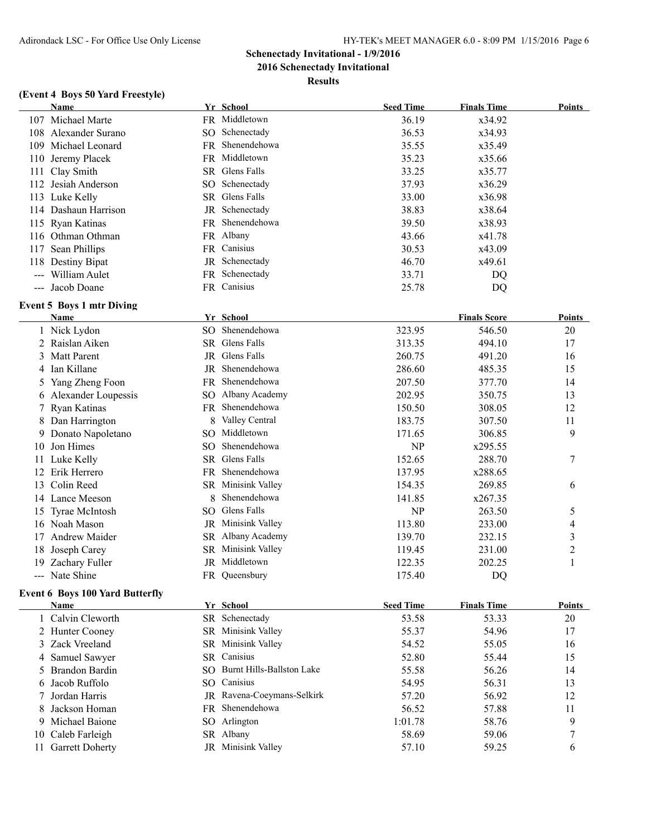**2016 Schenectady Invitational**

**Results**

#### **(Event 4 Boys 50 Yard Freestyle)**

|     | Name                                   |                 | Yr School                    | <b>Seed Time</b> | <b>Finals Time</b>  | <b>Points</b>           |
|-----|----------------------------------------|-----------------|------------------------------|------------------|---------------------|-------------------------|
|     | 107 Michael Marte                      |                 | FR Middletown                | 36.19            | x34.92              |                         |
|     | 108 Alexander Surano                   |                 | SO Schenectady               | 36.53            | x34.93              |                         |
| 109 | Michael Leonard                        |                 | FR Shenendehowa              | 35.55            | x35.49              |                         |
| 110 | Jeremy Placek                          |                 | FR Middletown                | 35.23            | x35.66              |                         |
|     | 111 Clay Smith                         |                 | SR Glens Falls               | 33.25            | x35.77              |                         |
|     | 112 Jesiah Anderson                    |                 | SO Schenectady               | 37.93            | x36.29              |                         |
|     | 113 Luke Kelly                         |                 | SR Glens Falls               | 33.00            | x36.98              |                         |
|     | 114 Dashaun Harrison                   |                 | JR Schenectady               | 38.83            | x38.64              |                         |
|     | 115 Ryan Katinas                       |                 | FR Shenendehowa              | 39.50            | x38.93              |                         |
|     | 116 Othman Othman                      |                 | FR Albany                    | 43.66            | x41.78              |                         |
| 117 | Sean Phillips                          |                 | FR Canisius                  | 30.53            | x43.09              |                         |
| 118 | Destiny Bipat                          |                 | JR Schenectady               | 46.70            | x49.61              |                         |
|     | --- William Aulet                      |                 | FR Schenectady               | 33.71            | DQ                  |                         |
|     | --- Jacob Doane                        |                 | FR Canisius                  | 25.78            | DQ                  |                         |
|     | <b>Event 5 Boys 1 mtr Diving</b>       |                 |                              |                  |                     |                         |
|     | Name                                   |                 | Yr School                    |                  | <b>Finals Score</b> | Points                  |
|     | 1 Nick Lydon                           |                 | SO Shenendehowa              | 323.95           | 546.50              | 20                      |
|     | 2 Raislan Aiken                        |                 | SR Glens Falls               | 313.35           | 494.10              | 17                      |
| 3   | <b>Matt Parent</b>                     |                 | JR Glens Falls               | 260.75           | 491.20              | 16                      |
| 4   | Ian Killane                            |                 | JR Shenendehowa              | 286.60           | 485.35              | 15                      |
| 5   | Yang Zheng Foon                        |                 | FR Shenendehowa              | 207.50           | 377.70              | 14                      |
| 6   | Alexander Loupessis                    |                 | SO Albany Academy            | 202.95           | 350.75              | 13                      |
| 7   | Ryan Katinas                           |                 | FR Shenendehowa              | 150.50           | 308.05              | 12                      |
| 8   | Dan Harrington                         | 8               | Valley Central               | 183.75           | 307.50              | 11                      |
| 9   | Donato Napoletano                      |                 | SO Middletown                | 171.65           | 306.85              | 9                       |
| 10  | Jon Himes                              | SO <sub>1</sub> | Shenendehowa                 | NP               | x295.55             |                         |
| 11  | Luke Kelly                             |                 | SR Glens Falls               | 152.65           | 288.70              | 7                       |
| 12  | Erik Herrero                           |                 | FR Shenendehowa              | 137.95           | x288.65             |                         |
| 13  | Colin Reed                             |                 | SR Minisink Valley           | 154.35           | 269.85              | 6                       |
|     | 14 Lance Meeson                        | 8               | Shenendehowa                 | 141.85           | x267.35             |                         |
|     | 15 Tyrae McIntosh                      |                 | SO Glens Falls               | NP               | 263.50              | 5                       |
|     | 16 Noah Mason                          |                 | JR Minisink Valley           | 113.80           | 233.00              | 4                       |
| 17  | <b>Andrew Maider</b>                   |                 | SR Albany Academy            | 139.70           | 232.15              | 3                       |
| 18  | Joseph Carey                           |                 | SR Minisink Valley           | 119.45           | 231.00              | $\overline{\mathbf{c}}$ |
|     | 19 Zachary Fuller                      |                 | JR Middletown                | 122.35           | 202.25              | 1                       |
|     | --- Nate Shine                         |                 | FR Queensbury                | 175.40           | DQ                  |                         |
|     | <b>Event 6 Boys 100 Yard Butterfly</b> |                 |                              |                  |                     |                         |
|     | <b>Name</b>                            |                 | Yr School                    | <b>Seed Time</b> | <b>Finals Time</b>  | <b>Points</b>           |
|     | 1 Calvin Cleworth                      |                 | SR Schenectady               | 53.58            | 53.33               | 20                      |
|     | 2 Hunter Cooney                        |                 | SR Minisink Valley           | 55.37            | 54.96               | 17                      |
|     | 3 Zack Vreeland                        |                 | SR Minisink Valley           | 54.52            | 55.05               | 16                      |
| 4   | Samuel Sawyer                          |                 | SR Canisius                  | 52.80            | 55.44               | 15                      |
| 5   | Brandon Bardin                         |                 | SO Burnt Hills-Ballston Lake | 55.58            | 56.26               | 14                      |
| 6   | Jacob Ruffolo                          |                 | SO Canisius                  | 54.95            | 56.31               | 13                      |
| 7   | Jordan Harris                          |                 | JR Ravena-Coeymans-Selkirk   | 57.20            | 56.92               | 12                      |
| 8   | Jackson Homan                          |                 | FR Shenendehowa              | 56.52            | 57.88               | 11                      |
| 9   | Michael Baione                         |                 | SO Arlington                 | 1:01.78          | 58.76               | 9                       |
| 10  | Caleb Farleigh                         |                 | SR Albany                    | 58.69            | 59.06               | 7                       |
| 11  | <b>Garrett Doherty</b>                 |                 | JR Minisink Valley           | 57.10            | 59.25               | 6                       |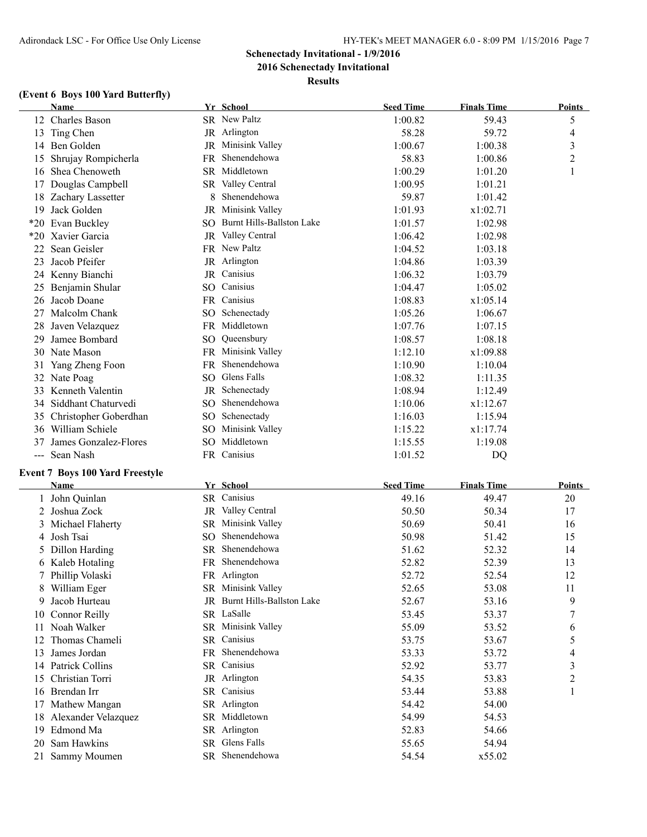**2016 Schenectady Invitational**

**Results**

## **(Event 6 Boys 100 Yard Butterfly)**

|    | <b>Name</b>                            |    | Yr School                    | <b>Seed Time</b> | <b>Finals Time</b> | <b>Points</b>           |
|----|----------------------------------------|----|------------------------------|------------------|--------------------|-------------------------|
|    | 12 Charles Bason                       |    | SR New Paltz                 | 1:00.82          | 59.43              | 5                       |
|    | 13 Ting Chen                           |    | JR Arlington                 | 58.28            | 59.72              | $\overline{4}$          |
|    | 14 Ben Golden                          |    | JR Minisink Valley           | 1:00.67          | 1:00.38            | 3                       |
|    | 15 Shrujay Rompicherla                 |    | FR Shenendehowa              | 58.83            | 1:00.86            | $\overline{c}$          |
|    | 16 Shea Chenoweth                      |    | SR Middletown                | 1:00.29          | 1:01.20            | 1                       |
|    | 17 Douglas Campbell                    |    | SR Valley Central            | 1:00.95          | 1:01.21            |                         |
|    | 18 Zachary Lassetter                   | 8. | Shenendehowa                 | 59.87            | 1:01.42            |                         |
| 19 | Jack Golden                            |    | JR Minisink Valley           | 1:01.93          | x1:02.71           |                         |
|    | *20 Evan Buckley                       |    | SO Burnt Hills-Ballston Lake | 1:01.57          | 1:02.98            |                         |
|    | *20 Xavier Garcia                      |    | JR Valley Central            | 1:06.42          | 1:02.98            |                         |
| 22 | Sean Geisler                           |    | FR New Paltz                 | 1:04.52          | 1:03.18            |                         |
| 23 | Jacob Pfeifer                          |    | JR Arlington                 | 1:04.86          | 1:03.39            |                         |
|    | 24 Kenny Bianchi                       |    | JR Canisius                  | 1:06.32          | 1:03.79            |                         |
| 25 | Benjamin Shular                        |    | SO Canisius                  | 1:04.47          | 1:05.02            |                         |
| 26 | Jacob Doane                            |    | FR Canisius                  | 1:08.83          | x1:05.14           |                         |
| 27 | Malcolm Chank                          |    | SO Schenectady               | 1:05.26          | 1:06.67            |                         |
| 28 | Javen Velazquez                        |    | FR Middletown                | 1:07.76          | 1:07.15            |                         |
| 29 | Jamee Bombard                          |    | SO Queensbury                | 1:08.57          | 1:08.18            |                         |
|    | 30 Nate Mason                          |    | FR Minisink Valley           | 1:12.10          | x1:09.88           |                         |
| 31 | Yang Zheng Foon                        |    | FR Shenendehowa              | 1:10.90          | 1:10.04            |                         |
|    | 32 Nate Poag                           |    | SO Glens Falls               | 1:08.32          | 1:11.35            |                         |
|    | 33 Kenneth Valentin                    |    | JR Schenectady               | 1:08.94          | 1:12.49            |                         |
|    | 34 Siddhant Chaturvedi                 |    | SO Shenendehowa              | 1:10.06          | x1:12.67           |                         |
|    | 35 Christopher Goberdhan               |    | SO Schenectady               | 1:16.03          | 1:15.94            |                         |
|    | 36 William Schiele                     |    | SO Minisink Valley           | 1:15.22          | x1:17.74           |                         |
|    | James Gonzalez-Flores                  |    | SO Middletown                |                  |                    |                         |
| 37 |                                        |    | FR Canisius                  | 1:15.55          | 1:19.08            |                         |
|    | --- Sean Nash                          |    |                              | 1:01.52          | DQ                 |                         |
|    | <b>Event 7 Boys 100 Yard Freestyle</b> |    |                              |                  |                    |                         |
|    | Name                                   |    | Yr School                    | <b>Seed Time</b> | <b>Finals Time</b> | <b>Points</b>           |
|    | 1 John Quinlan                         |    | SR Canisius                  | 49.16            | 49.47              | 20                      |
|    | 2 Joshua Zock                          |    | JR Valley Central            | 50.50            | 50.34              | 17                      |
| 3  | Michael Flaherty                       |    | SR Minisink Valley           | 50.69            | 50.41              | 16                      |
| 4  | Josh Tsai                              |    | SO Shenendehowa              | 50.98            | 51.42              | 15                      |
| 5. | Dillon Harding                         |    | SR Shenendehowa              | 51.62            | 52.32              | 14                      |
|    | 6 Kaleb Hotaling                       |    | FR Shenendehowa              | 52.82            | 52.39              | 13                      |
|    | 7 Phillip Volaski                      |    | FR Arlington                 | 52.72            | 52.54              | 12                      |
|    | 8 William Eger                         |    | SR Minisink Valley           | 52.65            | 53.08              | 11                      |
| 9  | Jacob Hurteau                          |    | JR Burnt Hills-Ballston Lake | 52.67            | 53.16              | 9                       |
|    | 10 Connor Reilly                       |    | SR LaSalle                   | 53.45            | 53.37              | 7                       |
|    | 11 Noah Walker                         |    | SR Minisink Valley           | 55.09            | 53.52              | 6                       |
|    | 12 Thomas Chameli                      |    | SR Canisius                  | 53.75            | 53.67              | 5                       |
| 13 | James Jordan                           |    | FR Shenendehowa              | 53.33            | 53.72              | 4                       |
|    | 14 Patrick Collins                     |    | SR Canisius                  | 52.92            | 53.77              | 3                       |
|    | 15 Christian Torri                     |    | JR Arlington                 | 54.35            | 53.83              | $\overline{\mathbf{c}}$ |
|    | 16 Brendan Irr                         |    | SR Canisius                  | 53.44            | 53.88              | 1                       |
|    | 17 Mathew Mangan                       |    | SR Arlington                 | 54.42            | 54.00              |                         |
|    | 18 Alexander Velazquez                 |    | SR Middletown                | 54.99            | 54.53              |                         |
|    | 19 Edmond Ma                           |    | SR Arlington                 | 52.83            | 54.66              |                         |
| 20 | Sam Hawkins                            |    | SR Glens Falls               | 55.65            | 54.94              |                         |
|    | 21 Sammy Moumen                        |    | SR Shenendehowa              | 54.54            | x55.02             |                         |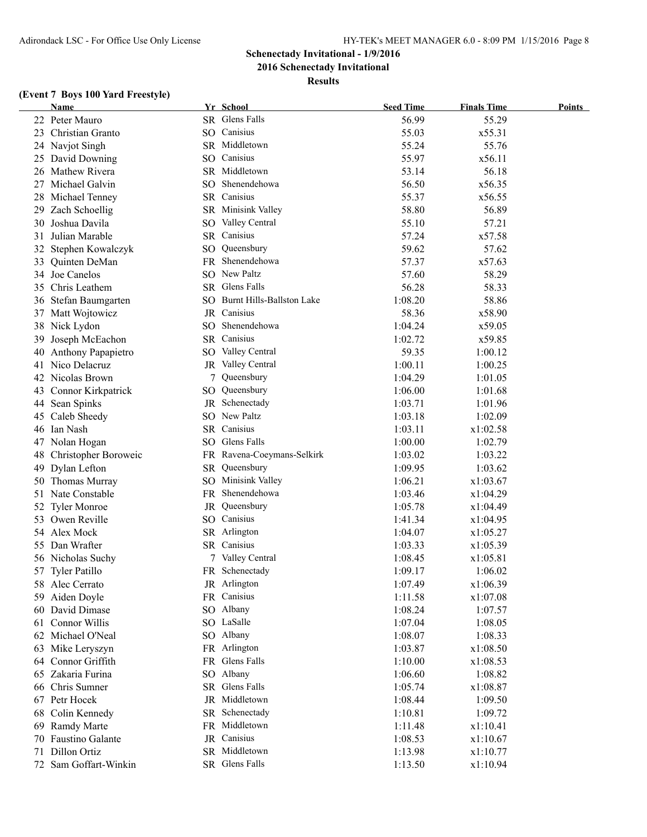**2016 Schenectady Invitational**

**Results**

## **(Event 7 Boys 100 Yard Freestyle)**

|    | <b>Name</b>             |     | Yr School                    | <b>Seed Time</b> | <b>Finals Time</b> | Points |
|----|-------------------------|-----|------------------------------|------------------|--------------------|--------|
|    | 22 Peter Mauro          |     | SR Glens Falls               | 56.99            | 55.29              |        |
|    | 23 Christian Granto     |     | SO Canisius                  | 55.03            | x55.31             |        |
|    | 24 Navjot Singh         |     | SR Middletown                | 55.24            | 55.76              |        |
|    | 25 David Downing        |     | SO Canisius                  | 55.97            | x56.11             |        |
|    | 26 Mathew Rivera        |     | SR Middletown                | 53.14            | 56.18              |        |
| 27 | Michael Galvin          |     | SO Shenendehowa              | 56.50            | x56.35             |        |
| 28 | Michael Tenney          |     | SR Canisius                  | 55.37            | x56.55             |        |
| 29 | Zach Schoellig          |     | SR Minisink Valley           | 58.80            | 56.89              |        |
| 30 | Joshua Davila           | SO. | Valley Central               | 55.10            | 57.21              |        |
| 31 | Julian Marable          |     | SR Canisius                  | 57.24            | x57.58             |        |
| 32 | Stephen Kowalczyk       | SO  | Queensbury                   | 59.62            | 57.62              |        |
| 33 | Quinten DeMan           |     | FR Shenendehowa              | 57.37            | x57.63             |        |
| 34 | Joe Canelos             |     | SO New Paltz                 | 57.60            | 58.29              |        |
| 35 | Chris Leathem           |     | SR Glens Falls               | 56.28            | 58.33              |        |
|    | 36 Stefan Baumgarten    |     | SO Burnt Hills-Ballston Lake | 1:08.20          | 58.86              |        |
|    | 37 Matt Wojtowicz       |     | JR Canisius                  | 58.36            | x58.90             |        |
|    | 38 Nick Lydon           |     | SO Shenendehowa              | 1:04.24          | x59.05             |        |
| 39 | Joseph McEachon         |     | SR Canisius                  | 1:02.72          | x59.85             |        |
| 40 | Anthony Papapietro      |     | SO Valley Central            | 59.35            | 1:00.12            |        |
| 41 | Nico Delacruz           |     | JR Valley Central            | 1:00.11          | 1:00.25            |        |
|    | 42 Nicolas Brown        | 7   | Queensbury                   | 1:04.29          | 1:01.05            |        |
| 43 | Connor Kirkpatrick      | SO  | Queensbury                   | 1:06.00          | 1:01.68            |        |
|    | 44 Sean Spinks          |     | JR Schenectady               | 1:03.71          | 1:01.96            |        |
|    | 45 Caleb Sheedy         |     | SO New Paltz                 | 1:03.18          | 1:02.09            |        |
|    | 46 Ian Nash             |     | SR Canisius                  | 1:03.11          | x1:02.58           |        |
|    | 47 Nolan Hogan          |     | SO Glens Falls               | 1:00.00          | 1:02.79            |        |
|    | 48 Christopher Boroweic |     | FR Ravena-Coeymans-Selkirk   | 1:03.02          | 1:03.22            |        |
|    | 49 Dylan Lefton         |     | SR Queensbury                | 1:09.95          | 1:03.62            |        |
|    | 50 Thomas Murray        |     | SO Minisink Valley           | 1:06.21          | x1:03.67           |        |
|    | 51 Nate Constable       |     | FR Shenendehowa              | 1:03.46          | x1:04.29           |        |
|    | 52 Tyler Monroe         |     | JR Queensbury                | 1:05.78          | x1:04.49           |        |
|    | 53 Owen Reville         |     | SO Canisius                  | 1:41.34          | x1:04.95           |        |
|    | 54 Alex Mock            |     | SR Arlington                 | 1:04.07          | x1:05.27           |        |
|    | 55 Dan Wrafter          |     | SR Canisius                  | 1:03.33          | x1:05.39           |        |
|    | 56 Nicholas Suchy       |     | Valley Central               | 1:08.45          | x1:05.81           |        |
|    | 57 Tyler Patillo        |     | FR Schenectady               | 1:09.17          | 1:06.02            |        |
|    | 58 Alec Cerrato         |     | JR Arlington                 | 1:07.49          | x1:06.39           |        |
|    | 59 Aiden Doyle          |     | FR Canisius                  | 1:11.58          | x1:07.08           |        |
|    | 60 David Dimase         |     | SO Albany                    | 1:08.24          | 1:07.57            |        |
|    | 61 Connor Willis        |     | SO LaSalle                   | 1:07.04          | 1:08.05            |        |
| 62 | Michael O'Neal          |     | SO Albany                    | 1:08.07          | 1:08.33            |        |
| 63 | Mike Leryszyn           |     | FR Arlington                 | 1:03.87          | x1:08.50           |        |
|    | 64 Connor Griffith      |     | FR Glens Falls               | 1:10.00          | x1:08.53           |        |
|    | 65 Zakaria Furina       |     | SO Albany                    | 1:06.60          | 1:08.82            |        |
|    | 66 Chris Sumner         |     | SR Glens Falls               | 1:05.74          | x1:08.87           |        |
|    | 67 Petr Hocek           |     | JR Middletown                | 1:08.44          | 1:09.50            |        |
|    | 68 Colin Kennedy        |     | SR Schenectady               | 1:10.81          | 1:09.72            |        |
| 69 | <b>Ramdy Marte</b>      |     | FR Middletown                | 1:11.48          | x1:10.41           |        |
| 70 | Faustino Galante        |     | JR Canisius                  | 1:08.53          | x1:10.67           |        |
| 71 | Dillon Ortiz            |     | SR Middletown                | 1:13.98          | x1:10.77           |        |
|    | 72 Sam Goffart-Winkin   |     | SR Glens Falls               | 1:13.50          | x1:10.94           |        |
|    |                         |     |                              |                  |                    |        |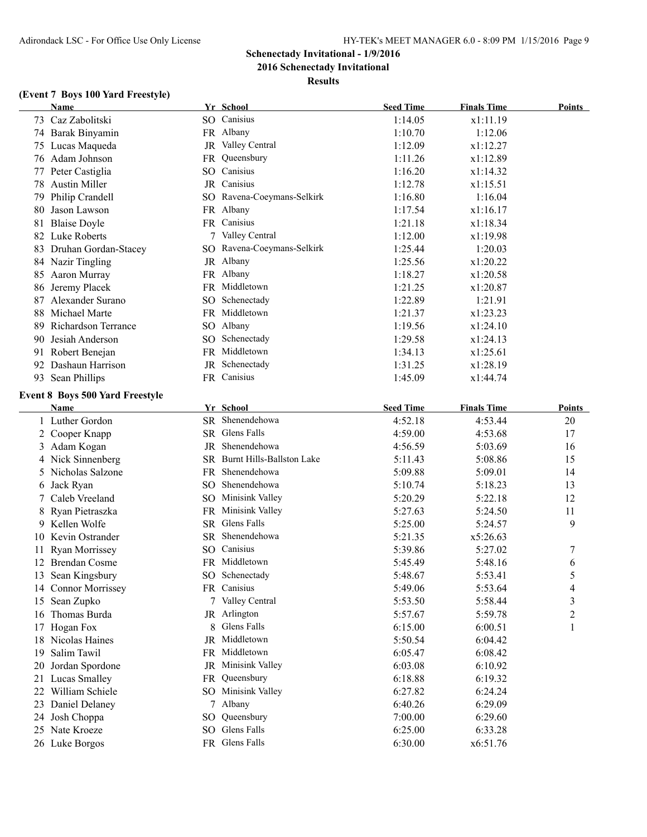**2016 Schenectady Invitational**

**Results**

# **(Event 7 Boys 100 Yard Freestyle)**

|    | <b>Name</b>                            |    | Yr School                    | <b>Seed Time</b>   | <b>Finals Time</b> | <b>Points</b> |
|----|----------------------------------------|----|------------------------------|--------------------|--------------------|---------------|
|    | 73 Caz Zabolitski                      |    | SO Canisius                  | 1:14.05            | x1:11.19           |               |
|    | 74 Barak Binyamin                      |    | FR Albany                    | 1:10.70            | 1:12.06            |               |
|    | 75 Lucas Maqueda                       |    | JR Valley Central            | 1:12.09            | x1:12.27           |               |
|    | 76 Adam Johnson                        |    | FR Queensbury                | 1:11.26            | x1:12.89           |               |
|    | 77 Peter Castiglia                     |    | SO Canisius                  | 1:16.20            | x1:14.32           |               |
|    | 78 Austin Miller                       |    | JR Canisius                  | 1:12.78            | x1:15.51           |               |
|    | 79 Philip Crandell                     |    | SO Ravena-Coeymans-Selkirk   | 1:16.80            | 1:16.04            |               |
|    | 80 Jason Lawson                        |    | FR Albany                    | 1:17.54            | x1:16.17           |               |
|    | 81 Blaise Doyle                        |    | FR Canisius                  | 1:21.18            | x1:18.34           |               |
|    | 82 Luke Roberts                        |    | 7 Valley Central             | 1:12.00            | x1:19.98           |               |
|    | 83 Druhan Gordan-Stacey                |    | SO Ravena-Coeymans-Selkirk   | 1:25.44            | 1:20.03            |               |
|    | 84 Nazir Tingling                      |    | JR Albany                    | 1:25.56            | x1:20.22           |               |
|    | 85 Aaron Murray                        |    | FR Albany                    | 1:18.27            | x1:20.58           |               |
|    | 86 Jeremy Placek                       |    | FR Middletown                | 1:21.25            | x1:20.87           |               |
|    | 87 Alexander Surano                    |    | SO Schenectady               | 1:22.89            | 1:21.91            |               |
|    | 88 Michael Marte                       |    | FR Middletown                | 1:21.37            | x1:23.23           |               |
|    | 89 Richardson Terrance                 |    | SO Albany                    | 1:19.56            | x1:24.10           |               |
|    | 90 Jesiah Anderson                     |    | SO Schenectady               | 1:29.58            | x1:24.13           |               |
|    | 91 Robert Benejan                      |    | FR Middletown                | 1:34.13            | x1:25.61           |               |
|    | 92 Dashaun Harrison                    |    | JR Schenectady               | 1:31.25            | x1:28.19           |               |
|    | 93 Sean Phillips                       |    | FR Canisius                  | 1:45.09            | x1:44.74           |               |
|    | <b>Event 8 Boys 500 Yard Freestyle</b> |    |                              |                    |                    |               |
|    | Name                                   |    | Yr School                    | <b>Seed Time</b>   | <b>Finals Time</b> | Points        |
|    | 1 Luther Gordon                        |    | SR Shenendehowa              | 4:52.18            | 4:53.44            | 20            |
|    | 2 Cooper Knapp                         |    | SR Glens Falls               | 4:59.00            | 4:53.68            | 17            |
|    | 3 Adam Kogan                           |    | JR Shenendehowa              | 4:56.59            | 5:03.69            | 16            |
|    | 4 Nick Sinnenberg                      |    | SR Burnt Hills-Ballston Lake | 5:11.43            | 5:08.86            | 15            |
|    | 5 Nicholas Salzone                     |    | FR Shenendehowa              | 5:09.88            | 5:09.01            | 14            |
|    | 6 Jack Ryan                            |    | SO Shenendehowa              | 5:10.74            | 5:18.23            | 13            |
|    | 7 Caleb Vreeland                       |    | SO Minisink Valley           | 5:20.29            | 5:22.18            | 12            |
|    | 8 Ryan Pietraszka                      |    | FR Minisink Valley           | 5:27.63            | 5:24.50            | 11            |
|    | 9 Kellen Wolfe                         |    | SR Glens Falls               | 5:25.00            | 5:24.57            | 9             |
|    | 10 Kevin Ostrander                     |    | SR Shenendehowa              | 5:21.35            | x5:26.63           |               |
|    | 11 Ryan Morrissey                      |    | SO Canisius                  | 5:39.86            | 5:27.02            | 7             |
|    | 12 Brendan Cosme                       |    | FR Middletown                | 5:45.49            | 5:48.16            | 6             |
|    | 13 Sean Kingsbury                      |    | SO Schenectady               | 5:48.67            | 5:53.41            | 5             |
|    | 14 Connor Morrissey                    |    | FR Canisius                  | 5:49.06            | 5:53.64            | 4             |
|    | 15 Sean Zupko                          |    | 7 Valley Central             | 5:53.50            | 5:58.44            | 3             |
|    | 16 Thomas Burda                        |    | JR Arlington                 | 5:57.67            | 5:59.78            | 2             |
|    | 17 Hogan Fox                           | 8. | Glens Falls                  | 6:15.00            | 6:00.51            | 1             |
|    | 18 Nicolas Haines                      |    | JR Middletown                | 5:50.54            | 6:04.42            |               |
| 19 | Salim Tawil                            |    | FR Middletown                | 6:05.47            | 6:08.42            |               |
|    | 20 Jordan Spordone                     |    | JR Minisink Valley           | 6:03.08            |                    |               |
|    | 21 Lucas Smalley                       |    | FR Queensbury                | 6:18.88            | 6:10.92<br>6:19.32 |               |
|    |                                        |    | SO Minisink Valley           |                    |                    |               |
|    | 22 William Schiele                     |    | 7 Albany                     | 6:27.82<br>6:40.26 | 6:24.24            |               |
|    | 23 Daniel Delaney                      |    | SO Queensbury                |                    | 6:29.09            |               |
|    | 24 Josh Choppa<br>25 Nate Kroeze       |    | SO Glens Falls               | 7:00.00            | 6:29.60            |               |
|    |                                        |    | FR Glens Falls               | 6:25.00            | 6:33.28            |               |
|    | 26 Luke Borgos                         |    |                              | 6:30.00            | x6:51.76           |               |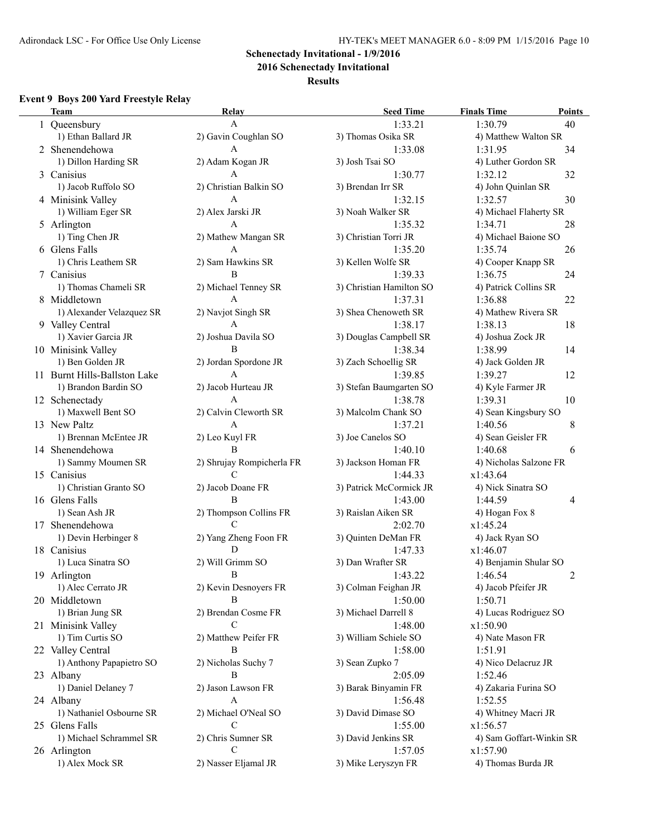**2016 Schenectady Invitational**

#### **Results**

# **Event 9 Boys 200 Yard Freestyle Relay**

| <b>Team</b>                  | Relay                     | <b>Seed Time</b>         | <b>Finals Time</b><br>Points |
|------------------------------|---------------------------|--------------------------|------------------------------|
| 1 Queensbury                 | $\mathbf{A}$              | 1:33.21                  | 1:30.79<br>40                |
| 1) Ethan Ballard JR          | 2) Gavin Coughlan SO      | 3) Thomas Osika SR       | 4) Matthew Walton SR         |
| 2 Shenendehowa               | A                         | 1:33.08                  | 1:31.95<br>34                |
| 1) Dillon Harding SR         | 2) Adam Kogan JR          | 3) Josh Tsai SO          | 4) Luther Gordon SR          |
| 3 Canisius                   | A                         | 1:30.77                  | 32<br>1:32.12                |
| 1) Jacob Ruffolo SO          | 2) Christian Balkin SO    | 3) Brendan Irr SR        | 4) John Quinlan SR           |
| 4 Minisink Valley            | A                         | 1:32.15                  | 30<br>1:32.57                |
| 1) William Eger SR           | 2) Alex Jarski JR         | 3) Noah Walker SR        | 4) Michael Flaherty SR       |
| 5 Arlington                  | A                         | 1:35.32                  | 1:34.71<br>28                |
| 1) Ting Chen JR              | 2) Mathew Mangan SR       | 3) Christian Torri JR    | 4) Michael Baione SO         |
| 6 Glens Falls                | A                         | 1:35.20                  | 1:35.74<br>26                |
| 1) Chris Leathem SR          | 2) Sam Hawkins SR         | 3) Kellen Wolfe SR       | 4) Cooper Knapp SR           |
| 7 Canisius                   | B                         | 1:39.33                  | 24<br>1:36.75                |
| 1) Thomas Chameli SR         | 2) Michael Tenney SR      | 3) Christian Hamilton SO | 4) Patrick Collins SR        |
| 8 Middletown                 | $\mathbf{A}$              | 1:37.31                  | 1:36.88<br>22                |
| 1) Alexander Velazquez SR    | 2) Navjot Singh SR        | 3) Shea Chenoweth SR     | 4) Mathew Rivera SR          |
| 9 Valley Central             | A                         | 1:38.17                  | 1:38.13<br>18                |
| 1) Xavier Garcia JR          | 2) Joshua Davila SO       |                          |                              |
|                              | B                         | 3) Douglas Campbell SR   | 4) Joshua Zock JR            |
| 10 Minisink Valley           |                           | 1:38.34                  | 1:38.99<br>14                |
| 1) Ben Golden JR             | 2) Jordan Spordone JR     | 3) Zach Schoellig SR     | 4) Jack Golden JR            |
| 11 Burnt Hills-Ballston Lake | A                         | 1:39.85                  | 12<br>1:39.27                |
| 1) Brandon Bardin SO         | 2) Jacob Hurteau JR       | 3) Stefan Baumgarten SO  | 4) Kyle Farmer JR            |
| 12 Schenectady               | A                         | 1:38.78                  | 1:39.31<br>10                |
| 1) Maxwell Bent SO           | 2) Calvin Cleworth SR     | 3) Malcolm Chank SO      | 4) Sean Kingsbury SO         |
| 13 New Paltz                 | $\overline{A}$            | 1:37.21                  | 1:40.56<br>8                 |
| 1) Brennan McEntee JR        | 2) Leo Kuyl FR            | 3) Joe Canelos SO        | 4) Sean Geisler FR           |
| 14 Shenendehowa              | B                         | 1:40.10                  | 1:40.68<br>6                 |
| 1) Sammy Moumen SR           | 2) Shrujay Rompicherla FR | 3) Jackson Homan FR      | 4) Nicholas Salzone FR       |
| 15 Canisius                  | C                         | 1:44.33                  | x1:43.64                     |
| 1) Christian Granto SO       | 2) Jacob Doane FR         | 3) Patrick McCormick JR  | 4) Nick Sinatra SO           |
| 16 Glens Falls               | B                         | 1:43.00                  | 1:44.59<br>4                 |
| 1) Sean Ash JR               | 2) Thompson Collins FR    | 3) Raislan Aiken SR      | 4) Hogan Fox 8               |
| 17 Shenendehowa              | C                         | 2:02.70                  | x1:45.24                     |
| 1) Devin Herbinger 8         | 2) Yang Zheng Foon FR     | 3) Quinten DeMan FR      | 4) Jack Ryan SO              |
| 18 Canisius                  | D                         | 1:47.33                  | x1:46.07                     |
| 1) Luca Sinatra SO           | 2) Will Grimm SO          | 3) Dan Wrafter SR        | 4) Benjamin Shular SO        |
| 19 Arlington                 | В                         | 1:43.22                  | 1:46.54<br>2                 |
| 1) Alec Cerrato JR           | 2) Kevin Desnoyers FR     | 3) Colman Feighan JR     | 4) Jacob Pfeifer JR          |
| 20 Middletown                | В                         | 1:50.00                  | 1:50.71                      |
| 1) Brian Jung SR             | 2) Brendan Cosme FR       | 3) Michael Darrell 8     | 4) Lucas Rodriguez SO        |
| 21 Minisink Valley           | С                         | 1:48.00                  | x1:50.90                     |
| 1) Tim Curtis SO             | 2) Matthew Peifer FR      | 3) William Schiele SO    | 4) Nate Mason FR             |
|                              |                           |                          |                              |
| 22 Valley Central            | В                         | 1:58.00                  | 1:51.91                      |
| 1) Anthony Papapietro SO     | 2) Nicholas Suchy 7       | 3) Sean Zupko 7          | 4) Nico Delacruz JR          |
| 23 Albany                    | В                         | 2:05.09                  | 1:52.46                      |
| 1) Daniel Delaney 7          | 2) Jason Lawson FR        | 3) Barak Binyamin FR     | 4) Zakaria Furina SO         |
| 24 Albany                    | A                         | 1:56.48                  | 1:52.55                      |
| 1) Nathaniel Osbourne SR     | 2) Michael O'Neal SO      | 3) David Dimase SO       | 4) Whitney Macri JR          |
| 25 Glens Falls               | C                         | 1:55.00                  | x1:56.57                     |
| 1) Michael Schrammel SR      | 2) Chris Sumner SR        | 3) David Jenkins SR      | 4) Sam Goffart-Winkin SR     |
| 26 Arlington                 | $\mathcal{C}$             | 1:57.05                  | x1:57.90                     |
| 1) Alex Mock SR              | 2) Nasser Eljamal JR      | 3) Mike Leryszyn FR      | 4) Thomas Burda JR           |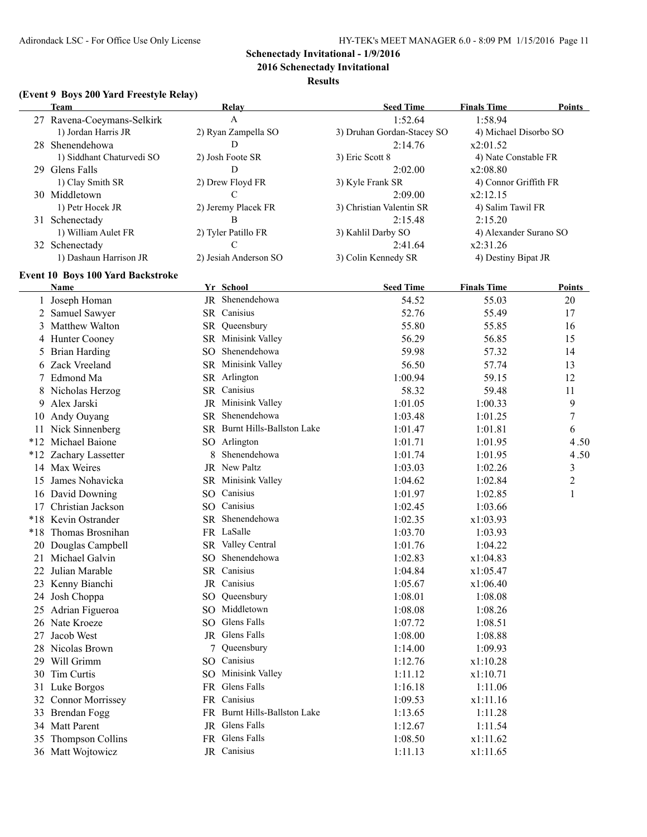**2016 Schenectady Invitational**

#### **Results**

### **(Event 9 Boys 200 Yard Freestyle Relay)**

|    |                                          |   |                              |                            | <b>Finals Time</b>     | <b>Points</b> |
|----|------------------------------------------|---|------------------------------|----------------------------|------------------------|---------------|
|    | 27 Ravena-Coeymans-Selkirk               |   | A                            | 1:52.64                    | 1:58.94                |               |
|    | 1) Jordan Harris JR                      |   | 2) Ryan Zampella SO          | 3) Druhan Gordan-Stacey SO | 4) Michael Disorbo SO  |               |
|    | 28 Shenendehowa                          |   | D                            | 2:14.76                    | x2:01.52               |               |
|    | 1) Siddhant Chaturvedi SO                |   | 2) Josh Foote SR             | 3) Eric Scott 8            | 4) Nate Constable FR   |               |
|    | 29 Glens Falls                           |   | D                            | 2:02.00                    | x2:08.80               |               |
|    | 1) Clay Smith SR                         |   | 2) Drew Floyd FR             | 3) Kyle Frank SR           | 4) Connor Griffith FR  |               |
|    | 30 Middletown                            |   | C                            | 2:09.00                    | x2:12.15               |               |
|    | 1) Petr Hocek JR                         |   | 2) Jeremy Placek FR          | 3) Christian Valentin SR   | 4) Salim Tawil FR      |               |
|    | 31 Schenectady                           |   | В                            | 2:15.48                    | 2:15.20                |               |
|    | 1) William Aulet FR                      |   | 2) Tyler Patillo FR          | 3) Kahlil Darby SO         | 4) Alexander Surano SO |               |
|    | 32 Schenectady                           |   | $\mathcal{C}$                | 2:41.64                    | x2:31.26               |               |
|    | 1) Dashaun Harrison JR                   |   | 2) Jesiah Anderson SO        | 3) Colin Kennedy SR        | 4) Destiny Bipat JR    |               |
|    | <b>Event 10 Boys 100 Yard Backstroke</b> |   |                              |                            |                        |               |
|    | Name                                     |   | Yr School                    | <b>Seed Time</b>           | <b>Finals Time</b>     | Points        |
|    | 1 Joseph Homan                           |   | JR Shenendehowa              | 54.52                      | 55.03                  | 20            |
|    | 2 Samuel Sawyer                          |   | SR Canisius                  | 52.76                      | 55.49                  | 17            |
| 3  | <b>Matthew Walton</b>                    |   | SR Queensbury                | 55.80                      | 55.85                  | 16            |
|    | 4 Hunter Cooney                          |   | SR Minisink Valley           | 56.29                      | 56.85                  | 15            |
| 5  | <b>Brian Harding</b>                     |   | SO Shenendehowa              | 59.98                      | 57.32                  | 14            |
|    | Zack Vreeland                            |   | SR Minisink Valley           | 56.50                      | 57.74                  | 13            |
| 6  | Edmond Ma                                |   | SR Arlington                 | 1:00.94                    | 59.15                  | 12            |
| 7  |                                          |   | SR Canisius                  | 58.32                      | 59.48                  |               |
|    | 8 Nicholas Herzog                        |   |                              |                            |                        | 11            |
| 9  | Alex Jarski                              |   | JR Minisink Valley           | 1:01.05                    | 1:00.33                | 9             |
| 10 | Andy Ouyang                              |   | SR Shenendehowa              | 1:03.48                    | 1:01.25                | 7             |
|    | 11 Nick Sinnenberg                       |   | SR Burnt Hills-Ballston Lake | 1:01.47                    | 1:01.81                | 6             |
|    | *12 Michael Baione                       |   | SO Arlington                 | 1:01.71                    | 1:01.95                | 4.50          |
|    | *12 Zachary Lassetter                    | 8 | Shenendehowa                 | 1:01.74                    | 1:01.95                | 4.50          |
|    | 14 Max Weires                            |   | JR New Paltz                 | 1:03.03                    | 1:02.26                | 3             |
|    | 15 James Nohavicka                       |   | SR Minisink Valley           | 1:04.62                    | 1:02.84                | $\mathbf{2}$  |
|    | 16 David Downing                         |   | SO Canisius                  | 1:01.97                    | 1:02.85                | $\mathbf{1}$  |
|    | 17 Christian Jackson                     |   | SO Canisius                  | 1:02.45                    | 1:03.66                |               |
|    | *18 Kevin Ostrander                      |   | SR Shenendehowa              | 1:02.35                    | x1:03.93               |               |
|    | *18 Thomas Brosnihan                     |   | FR LaSalle                   | 1:03.70                    | 1:03.93                |               |
| 20 | Douglas Campbell                         |   | SR Valley Central            | 1:01.76                    | 1:04.22                |               |
|    | 21 Michael Galvin                        |   | SO Shenendehowa              | 1:02.83                    | x1:04.83               |               |
|    | 22 Julian Marable                        |   | SR Canisius                  | 1:04.84                    | x1:05.47               |               |
|    | 23 Kenny Bianchi                         |   | JR Canisius                  | 1:05.67                    | x1:06.40               |               |
| 24 | Josh Choppa                              |   | SO Queensbury                | 1:08.01                    | 1:08.08                |               |
| 25 | Adrian Figueroa                          |   | SO Middletown                | 1:08.08                    | 1:08.26                |               |
|    | 26 Nate Kroeze                           |   | SO Glens Falls               | 1:07.72                    | 1:08.51                |               |
| 27 | Jacob West                               |   | JR Glens Falls               | 1:08.00                    | 1:08.88                |               |
|    | 28 Nicolas Brown                         | 7 | Queensbury                   | 1:14.00                    | 1:09.93                |               |
|    | 29 Will Grimm                            |   | SO Canisius                  | 1:12.76                    | x1:10.28               |               |
|    | 30 Tim Curtis                            |   | SO Minisink Valley           | 1:11.12                    | x1:10.71               |               |
|    | 31 Luke Borgos                           |   | FR Glens Falls               | 1:16.18                    | 1:11.06                |               |
|    | 32 Connor Morrissey                      |   | FR Canisius                  | 1:09.53                    | x1:11.16               |               |
|    | 33 Brendan Fogg                          |   | FR Burnt Hills-Ballston Lake | 1:13.65                    | 1:11.28                |               |
|    | 34 Matt Parent                           |   | JR Glens Falls               | 1:12.67                    | 1:11.54                |               |
| 35 | Thompson Collins                         |   | FR Glens Falls               | 1:08.50                    | x1:11.62               |               |
|    | 36 Matt Wojtowicz                        |   | JR Canisius                  | 1:11.13                    | x1:11.65               |               |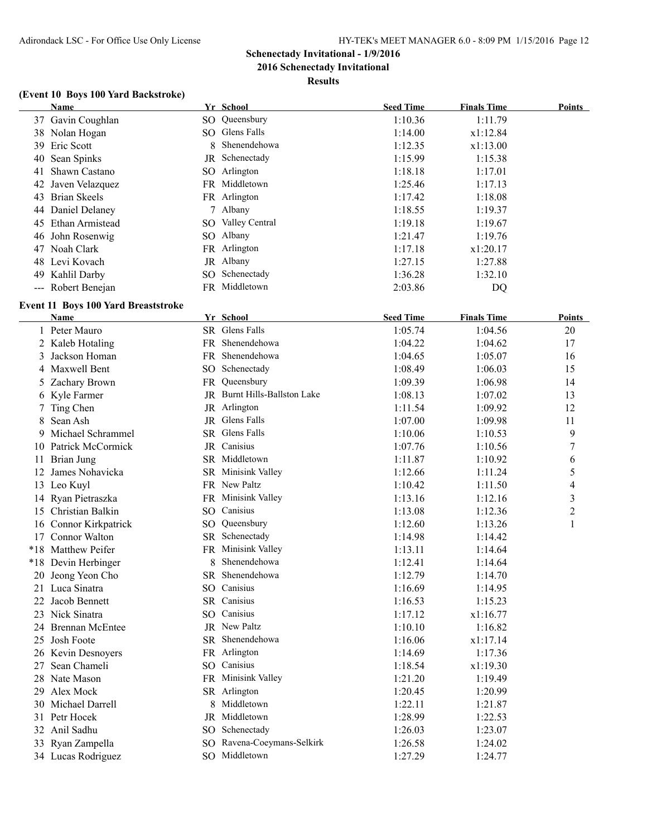**2016 Schenectady Invitational**

**Results**

### **(Event 10 Boys 100 Yard Backstroke)**

| <b>Name</b>        | Yr School         | <b>Seed Time</b> | <b>Finals Time</b> | Points |
|--------------------|-------------------|------------------|--------------------|--------|
| 37 Gavin Coughlan  | SO Queensbury     | 1:10.36          | 1:11.79            |        |
| 38 Nolan Hogan     | SO Glens Falls    | 1:14.00          | x1:12.84           |        |
| 39 Eric Scott      | 8 Shenendehowa    | 1:12.35          | x1:13.00           |        |
| 40 Sean Spinks     | JR Schenectady    | 1:15.99          | 1:15.38            |        |
| 41 Shawn Castano   | SO Arlington      | 1:18.18          | 1:17.01            |        |
| 42 Javen Velazquez | FR Middletown     | 1:25.46          | 1:17.13            |        |
| 43 Brian Skeels    | FR Arlington      | 1:17.42          | 1:18.08            |        |
| 44 Daniel Delaney  | Albany            | 1:18.55          | 1:19.37            |        |
| 45 Ethan Armistead | SO Valley Central | 1:19.18          | 1:19.67            |        |
| 46 John Rosenwig   | SO Albany         | 1:21.47          | 1:19.76            |        |
| Noah Clark<br>47   | FR Arlington      | 1:17.18          | x1:20.17           |        |
| 48 Levi Kovach     | JR Albany         | 1:27.15          | 1:27.88            |        |
| 49 Kahlil Darby    | SO Schenectady    | 1:36.28          | 1:32.10            |        |
| --- Robert Benejan | FR Middletown     | 2:03.86          | DO                 |        |

### **Event 11 Boys 100 Yard Breaststroke**

|    | <b>Name</b>           |     | Yr School                    | <b>Seed Time</b> | <b>Finals Time</b> | <b>Points</b>           |
|----|-----------------------|-----|------------------------------|------------------|--------------------|-------------------------|
|    | 1 Peter Mauro         |     | SR Glens Falls               | 1:05.74          | 1:04.56            | 20                      |
|    | 2 Kaleb Hotaling      |     | FR Shenendehowa              | 1:04.22          | 1:04.62            | 17                      |
| 3  | Jackson Homan         |     | FR Shenendehowa              | 1:04.65          | 1:05.07            | 16                      |
|    | 4 Maxwell Bent        |     | SO Schenectady               | 1:08.49          | 1:06.03            | 15                      |
|    | 5 Zachary Brown       |     | FR Queensbury                | 1:09.39          | 1:06.98            | 14                      |
|    | 6 Kyle Farmer         |     | JR Burnt Hills-Ballston Lake | 1:08.13          | 1:07.02            | 13                      |
|    | 7 Ting Chen           |     | JR Arlington                 | 1:11.54          | 1:09.92            | 12                      |
| 8  | Sean Ash              |     | JR Glens Falls               | 1:07.00          | 1:09.98            | 11                      |
| 9. | Michael Schrammel     |     | SR Glens Falls               | 1:10.06          | 1:10.53            | 9                       |
|    | 10 Patrick McCormick  |     | JR Canisius                  | 1:07.76          | 1:10.56            | 7                       |
|    | 11 Brian Jung         |     | SR Middletown                | 1:11.87          | 1:10.92            | 6                       |
| 12 | James Nohavicka       |     | SR Minisink Valley           | 1:12.66          | 1:11.24            | 5                       |
|    | 13 Leo Kuyl           |     | FR New Paltz                 | 1:10.42          | 1:11.50            | 4                       |
|    | 14 Ryan Pietraszka    |     | FR Minisink Valley           | 1:13.16          | 1:12.16            | $\overline{\mathbf{3}}$ |
|    | 15 Christian Balkin   |     | SO Canisius                  | 1:13.08          | 1:12.36            | $\overline{c}$          |
|    | 16 Connor Kirkpatrick |     | SO Queensbury                | 1:12.60          | 1:13.26            | 1                       |
|    | 17 Connor Walton      |     | SR Schenectady               | 1:14.98          | 1:14.42            |                         |
|    | *18 Matthew Peifer    |     | FR Minisink Valley           | 1:13.11          | 1:14.64            |                         |
|    | *18 Devin Herbinger   |     | 8 Shenendehowa               | 1:12.41          | 1:14.64            |                         |
|    | 20 Jeong Yeon Cho     |     | SR Shenendehowa              | 1:12.79          | 1:14.70            |                         |
|    | 21 Luca Sinatra       |     | SO Canisius                  | 1:16.69          | 1:14.95            |                         |
| 22 | Jacob Bennett         |     | SR Canisius                  | 1:16.53          | 1:15.23            |                         |
|    | 23 Nick Sinatra       |     | SO Canisius                  | 1:17.12          | x1:16.77           |                         |
|    | 24 Brennan McEntee    |     | JR New Paltz                 | 1:10.10          | 1:16.82            |                         |
|    | 25 Josh Foote         |     | SR Shenendehowa              | 1:16.06          | x1:17.14           |                         |
|    | 26 Kevin Desnoyers    |     | FR Arlington                 | 1:14.69          | 1:17.36            |                         |
| 27 | Sean Chameli          |     | SO Canisius                  | 1:18.54          | x1:19.30           |                         |
|    | 28 Nate Mason         |     | FR Minisink Valley           | 1:21.20          | 1:19.49            |                         |
| 29 | Alex Mock             |     | SR Arlington                 | 1:20.45          | 1:20.99            |                         |
|    | 30 Michael Darrell    |     | Middletown                   | 1:22.11          | 1:21.87            |                         |
|    | 31 Petr Hocek         | JR  | Middletown                   | 1:28.99          | 1:22.53            |                         |
|    | 32 Anil Sadhu         | SO. | Schenectady                  | 1:26.03          | 1:23.07            |                         |
|    | 33 Ryan Zampella      |     | SO Ravena-Coeymans-Selkirk   | 1:26.58          | 1:24.02            |                         |
|    | 34 Lucas Rodriguez    |     | SO Middletown                | 1:27.29          | 1:24.77            |                         |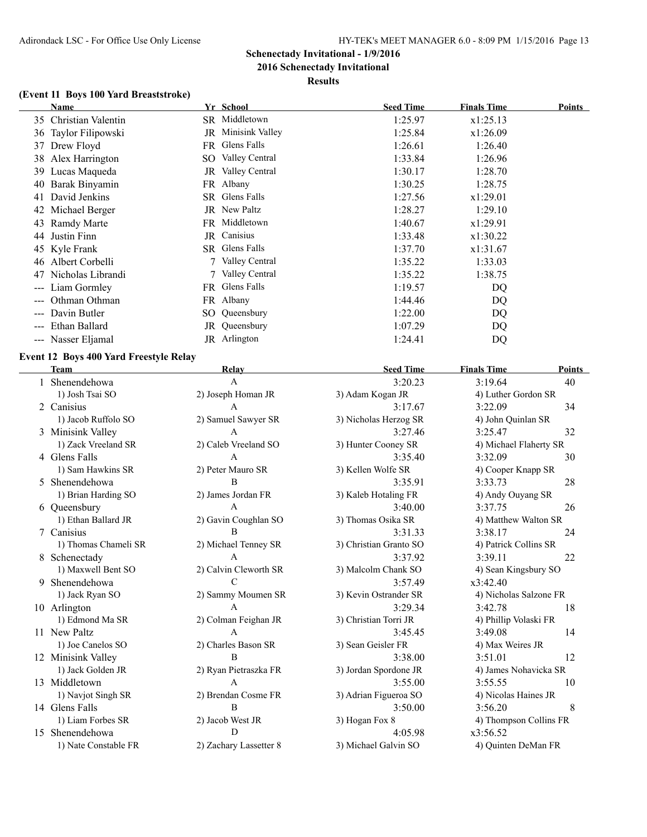## **Schenectady Invitational - 1/9/2016 2016 Schenectady Invitational**

# **Results**

### **(Event 11 Boys 100 Yard Breaststroke)**

| Name                                       | Yr School                | <b>Seed Time</b> | <b>Finals Time</b> | Points |
|--------------------------------------------|--------------------------|------------------|--------------------|--------|
| 35 Christian Valentin                      | SR Middletown            | 1:25.97          | x1:25.13           |        |
| 36 Taylor Filipowski                       | JR Minisink Valley       | 1:25.84          | x1:26.09           |        |
| 37 Drew Floyd                              | FR Glens Falls           | 1:26.61          | 1:26.40            |        |
| 38 Alex Harrington                         | SO Valley Central        | 1:33.84          | 1:26.96            |        |
| 39 Lucas Maqueda                           | <b>JR</b> Valley Central | 1:30.17          | 1:28.70            |        |
| 40 Barak Binyamin                          | FR Albany                | 1:30.25          | 1:28.75            |        |
| David Jenkins<br>41                        | SR Glens Falls           | 1:27.56          | x1:29.01           |        |
| 42 Michael Berger                          | JR New Paltz             | 1:28.27          | 1:29.10            |        |
| 43 Ramdy Marte                             | FR Middletown            | 1:40.67          | x1:29.91           |        |
| Justin Finn<br>44                          | JR Canisius              | 1:33.48          | x1:30.22           |        |
| 45 Kyle Frank                              | SR Glens Falls           | 1:37.70          | x1:31.67           |        |
| 46 Albert Corbelli                         | Valley Central           | 1:35.22          | 1:33.03            |        |
| Nicholas Librandi<br>47                    | Valley Central           | 1:35.22          | 1:38.75            |        |
| Liam Gormley<br>$\qquad \qquad \cdots$     | FR Glens Falls           | 1:19.57          | DQ                 |        |
| Othman Othman                              | FR Albany                | 1:44.46          | DQ                 |        |
| Davin Butler<br>$\sim$ $\sim$ $\sim$       | SO Queensbury            | 1:22.00          | DQ                 |        |
| Ethan Ballard<br>$\qquad \qquad -\qquad -$ | JR Queensbury            | 1:07.29          | DQ                 |        |
| --- Nasser Eljamal                         | JR Arlington             | 1:24.41          | DO                 |        |

### **Event 12 Boys 400 Yard Freestyle Relay**

 $\overline{a}$ 

|    | <b>Team</b>          | Relay                  | <b>Seed Time</b>       | <b>Finals Time</b>     | Points |  |
|----|----------------------|------------------------|------------------------|------------------------|--------|--|
|    | Shenendehowa         | A                      | 3:20.23                | 3:19.64                | 40     |  |
|    | 1) Josh Tsai SO      | 2) Joseph Homan JR     | 3) Adam Kogan JR       | 4) Luther Gordon SR    |        |  |
| 2  | Canisius             | A                      | 3:17.67                | 3:22.09                | 34     |  |
|    | 1) Jacob Ruffolo SO  | 2) Samuel Sawyer SR    | 3) Nicholas Herzog SR  | 4) John Quinlan SR     |        |  |
|    | 3 Minisink Valley    | $\mathsf{A}$           | 3:27.46                | 3:25.47                | 32     |  |
|    | 1) Zack Vreeland SR  | 2) Caleb Vreeland SO   | 3) Hunter Cooney SR    | 4) Michael Flaherty SR |        |  |
|    | 4 Glens Falls        | $\mathbf{A}$           | 3:35.40                | 3:32.09                | 30     |  |
|    | 1) Sam Hawkins SR    | 2) Peter Mauro SR      | 3) Kellen Wolfe SR     | 4) Cooper Knapp SR     |        |  |
|    | 5 Shenendehowa       | B                      | 3:35.91                | 3:33.73                | 28     |  |
|    | 1) Brian Harding SO  | 2) James Jordan FR     | 3) Kaleb Hotaling FR   | 4) Andy Ouyang SR      |        |  |
|    | 6 Queensbury         | A                      | 3:40.00                | 3:37.75                | 26     |  |
|    | 1) Ethan Ballard JR  | 2) Gavin Coughlan SO   | 3) Thomas Osika SR     | 4) Matthew Walton SR   |        |  |
|    | 7 Canisius           | B                      | 3:31.33                | 3:38.17                | 24     |  |
|    | 1) Thomas Chameli SR | 2) Michael Tenney SR   | 3) Christian Granto SO | 4) Patrick Collins SR  |        |  |
| 8  | Schenectady          | A                      | 3:37.92                | 3:39.11                | 22     |  |
|    | 1) Maxwell Bent SO   | 2) Calvin Cleworth SR  | 3) Malcolm Chank SO    | 4) Sean Kingsbury SO   |        |  |
| 9  | Shenendehowa         | $\mathcal{C}$          | 3:57.49                | x3:42.40               |        |  |
|    | 1) Jack Ryan SO      | 2) Sammy Moumen SR     | 3) Kevin Ostrander SR  | 4) Nicholas Salzone FR |        |  |
|    | 10 Arlington         | A                      | 3:29.34                | 3:42.78                | 18     |  |
|    | 1) Edmond Ma SR      | 2) Colman Feighan JR   | 3) Christian Torri JR  | 4) Phillip Volaski FR  |        |  |
|    | 11 New Paltz         | $\mathbf{A}$           | 3:45.45                | 3:49.08                | 14     |  |
|    | 1) Joe Canelos SO    | 2) Charles Bason SR    | 3) Sean Geisler FR     | 4) Max Weires JR       |        |  |
|    | 12 Minisink Valley   | $\overline{B}$         | 3:38.00                | 3:51.01                | 12     |  |
|    | 1) Jack Golden JR    | 2) Ryan Pietraszka FR  | 3) Jordan Spordone JR  | 4) James Nohavicka SR  |        |  |
|    | 13 Middletown        | A                      | 3:55.00                | 3:55.55                | 10     |  |
|    | 1) Navjot Singh SR   | 2) Brendan Cosme FR    | 3) Adrian Figueroa SO  | 4) Nicolas Haines JR   |        |  |
|    | 14 Glens Falls       | $\overline{B}$         | 3:50.00                | 3:56.20                | 8      |  |
|    | 1) Liam Forbes SR    | 2) Jacob West JR       | 3) Hogan Fox 8         | 4) Thompson Collins FR |        |  |
| 15 | Shenendehowa         | D                      | 4:05.98                | x3:56.52               |        |  |
|    | 1) Nate Constable FR | 2) Zachary Lassetter 8 | 3) Michael Galvin SO   | 4) Quinten DeMan FR    |        |  |